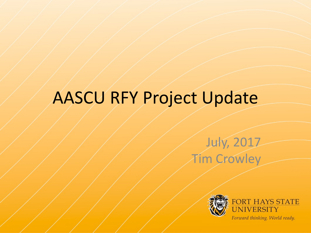# AASCU RFY Project Update

#### July, 2017 Tim Crowley

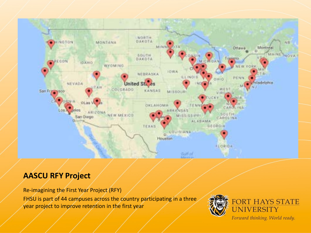

#### **AASCU RFY Project**

Re-imagining the First Year Project (RFY) FHSU is part of 44 campuses across the country participating in a three year project to improve retention in the first year

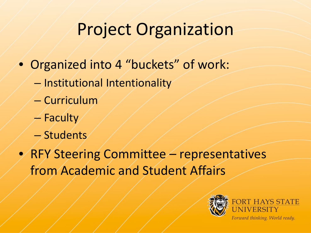## Project Organization

- Organized into 4 "buckets" of work:
	- Institutional Intentionality
	- Curriculum
	- $-$  Faculty
	- Students
- RFY Steering Committee representatives from Academic and Student Affairs

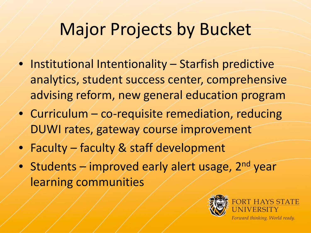#### Major Projects by Bucket

- Institutional Intentionality Starfish predictive analytics, student success center, comprehensive advising reform, new general education program
- Curriculum co-requisite remediation, reducing DUWI rates, gateway course improvement
- Faculty faculty & staff development
- Students  $\rightarrow$  improved early alert usage, 2<sup>nd</sup> year learning communities

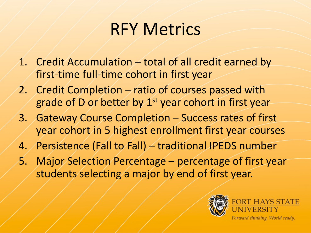#### RFY Metrics

- 1. Credit Accumulation total of all credit earned by first-time full-time cohort in first year
- 2. Credit Completion ratio of courses passed with grade of D or better by 1<sup>st</sup> year cohort in first year
- 3. Gateway Course Completion Success rates of first year cohort in 5 highest enrollment first year courses
- 4. Persistence (Fall to Fall) traditional IPEDS number
- 5. Major Selection Percentage percentage of first year students selecting a major by end of first year.

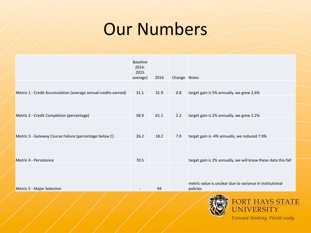#### Our Numbers

|                                                                | <b>Baseline</b><br>$2014 -$<br>2015<br>average) | 2016 | Change Notes |                                                                      |
|----------------------------------------------------------------|-------------------------------------------------|------|--------------|----------------------------------------------------------------------|
| Metric 1 - Credit Accumulation (average annual credits earned) | 31.1                                            | 31.9 | 0.8          | target gain is 5% annually, we grew 2.6%                             |
|                                                                |                                                 |      |              |                                                                      |
| Metric 2 - Credit Completion (percentage)                      | 58.9                                            | 61.1 | 2.2          | target gain is 2% annually, we grew 2.2%                             |
| Metric 3 - Gateway Course Failure (percentage below C)         | 26.2                                            | 18.2 | 7.9          | target gain is -4% annually, we reduced 7.9%                         |
|                                                                |                                                 |      |              |                                                                      |
| Metric 4 - Persistence                                         | 70.5                                            |      |              | target gain is 2% annually, we will know these data this fall        |
| Metric 5 - Major Selection                                     | $\overline{\phantom{a}}$                        | 94   |              | metric value is unclear due to variance in institutional<br>policies |
|                                                                |                                                 |      |              | <b>EODT IIAVC CTAT</b>                                               |

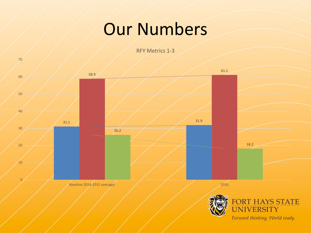#### Our Numbers

RFY Metrics 1-3

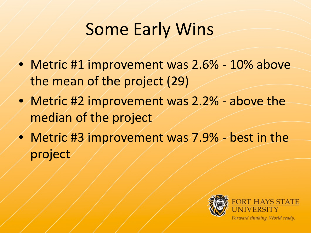### Some Early Wins

- Metric #1 improvement was 2.6% 10% above the mean of the project (29)
- Metric #2 improvement was 2.2% above the median of the project
- Metric #3 improvement was 7.9% best in the project

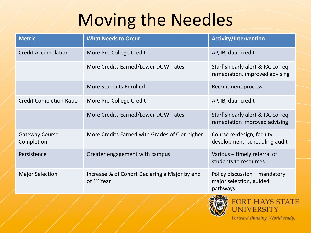# Moving the Needles

| <b>Metric</b>                       | <b>What Needs to Occur</b>                                               | <b>Activity/Intervention</b>                                         |
|-------------------------------------|--------------------------------------------------------------------------|----------------------------------------------------------------------|
| <b>Credit Accumulation</b>          | More Pre-College Credit                                                  | AP, IB, dual-credit                                                  |
|                                     | More Credits Earned/Lower DUWI rates                                     | Starfish early alert & PA, co-req<br>remediation, improved advising  |
|                                     | <b>More Students Enrolled</b>                                            | Recruitment process                                                  |
| <b>Credit Completion Ratio</b>      | More Pre-College Credit                                                  | AP, IB, dual-credit                                                  |
|                                     | More Credits Earned/Lower DUWI rates                                     | Starfish early alert & PA, co-req<br>remediation improved advising   |
| <b>Gateway Course</b><br>Completion | More Credits Earned with Grades of C or higher                           | Course re-design, faculty<br>development, scheduling audit           |
| Persistence                         | Greater engagement with campus                                           | Various - timely referral of<br>students to resources                |
| <b>Major Selection</b>              | Increase % of Cohort Declaring a Major by end<br>of 1 <sup>st</sup> Year | Policy discussion - mandatory<br>major selection, guided<br>pathways |
|                                     |                                                                          |                                                                      |



UNIVERSITY Forward thinking. World ready.